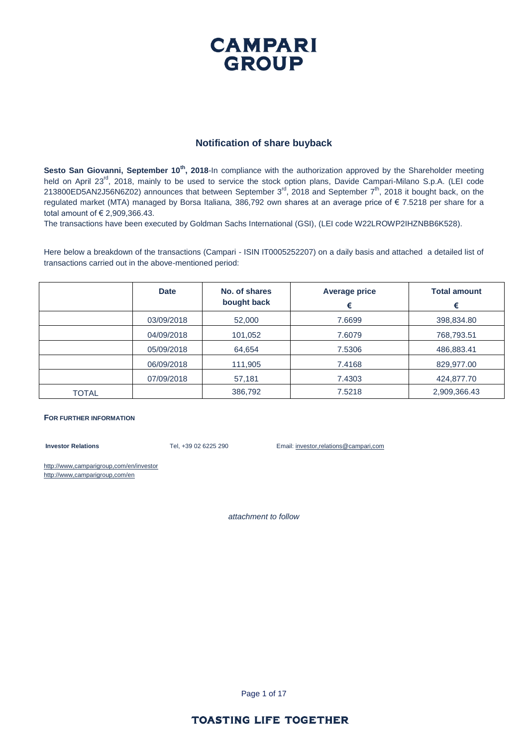#### **CAMPARI GROUP**

#### **Notification of share buyback**

**Sesto San Giovanni, September 10<sup>th</sup>, 2018-In compliance with the authorization approved by the Shareholder meeting** held on April 23<sup>rd</sup>, 2018, mainly to be used to service the stock option plans, Davide Campari-Milano S.p.A. (LEI code 213800ED5AN2J56N6Z02) announces that between September 3<sup>rd</sup>, 2018 and September 7<sup>th</sup>, 2018 it bought back, on the regulated market (MTA) managed by Borsa Italiana, 386,792 own shares at an average price of € 7.5218 per share for a total amount of € 2,909,366.43.

The transactions have been executed by Goldman Sachs International (GSI), (LEI code W22LROWP2IHZNBB6K528).

Here below a breakdown of the transactions (Campari - ISIN IT0005252207) on a daily basis and attached a detailed list of transactions carried out in the above-mentioned period:

|              | <b>Date</b> | No. of shares<br>bought back | <b>Average price</b><br>€ | <b>Total amount</b><br>€ |
|--------------|-------------|------------------------------|---------------------------|--------------------------|
|              | 03/09/2018  | 52,000                       | 7.6699                    | 398,834.80               |
|              | 04/09/2018  | 101,052                      | 7.6079                    | 768,793.51               |
|              | 05/09/2018  | 64,654                       | 7.5306                    | 486,883.41               |
|              | 06/09/2018  | 111,905                      | 7.4168                    | 829,977.00               |
|              | 07/09/2018  | 57,181                       | 7.4303                    | 424,877.70               |
| <b>TOTAL</b> |             | 386,792                      | 7.5218                    | 2,909,366.43             |

#### **FOR FURTHER INFORMATION**

**Investor Relations** Tel, +39 02 6225 290 Email: investor,relations@campari,com

http://www,camparigroup,com/en/investor http://www,camparigroup,com/en

*attachment to follow*

Page 1 of 17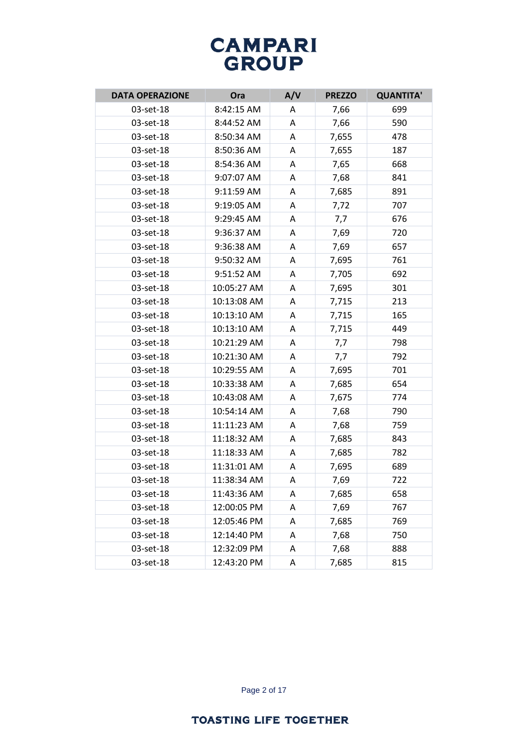| <b>DATA OPERAZIONE</b> | Ora         | A/V | <b>PREZZO</b> | <b>QUANTITA'</b> |
|------------------------|-------------|-----|---------------|------------------|
| 03-set-18              | 8:42:15 AM  | A   | 7,66          | 699              |
| 03-set-18              | 8:44:52 AM  | A   | 7,66          | 590              |
| 03-set-18              | 8:50:34 AM  | Α   | 7,655         | 478              |
| 03-set-18              | 8:50:36 AM  | A   | 7,655         | 187              |
| 03-set-18              | 8:54:36 AM  | Α   | 7,65          | 668              |
| 03-set-18              | 9:07:07 AM  | Α   | 7,68          | 841              |
| 03-set-18              | 9:11:59 AM  | A   | 7,685         | 891              |
| 03-set-18              | 9:19:05 AM  | Α   | 7,72          | 707              |
| 03-set-18              | 9:29:45 AM  | A   | 7,7           | 676              |
| 03-set-18              | 9:36:37 AM  | A   | 7,69          | 720              |
| 03-set-18              | 9:36:38 AM  | A   | 7,69          | 657              |
| 03-set-18              | 9:50:32 AM  | Α   | 7,695         | 761              |
| 03-set-18              | 9:51:52 AM  | A   | 7,705         | 692              |
| 03-set-18              | 10:05:27 AM | A   | 7,695         | 301              |
| 03-set-18              | 10:13:08 AM | Α   | 7,715         | 213              |
| 03-set-18              | 10:13:10 AM | Α   | 7,715         | 165              |
| 03-set-18              | 10:13:10 AM | A   | 7,715         | 449              |
| 03-set-18              | 10:21:29 AM | A   | 7,7           | 798              |
| 03-set-18              | 10:21:30 AM | A   | 7,7           | 792              |
| 03-set-18              | 10:29:55 AM | Α   | 7,695         | 701              |
| 03-set-18              | 10:33:38 AM | A   | 7,685         | 654              |
| 03-set-18              | 10:43:08 AM | Α   | 7,675         | 774              |
| 03-set-18              | 10:54:14 AM | Α   | 7,68          | 790              |
| 03-set-18              | 11:11:23 AM | Α   | 7,68          | 759              |
| 03-set-18              | 11:18:32 AM | A   | 7,685         | 843              |
| 03-set-18              | 11:18:33 AM | Α   | 7,685         | 782              |
| 03-set-18              | 11:31:01 AM | A   | 7,695         | 689              |
| 03-set-18              | 11:38:34 AM | Α   | 7,69          | 722              |
| 03-set-18              | 11:43:36 AM | Α   | 7,685         | 658              |
| 03-set-18              | 12:00:05 PM | Α   | 7,69          | 767              |
| 03-set-18              | 12:05:46 PM | A   | 7,685         | 769              |
| 03-set-18              | 12:14:40 PM | Α   | 7,68          | 750              |
| 03-set-18              | 12:32:09 PM | A   | 7,68          | 888              |
| 03-set-18              | 12:43:20 PM | Α   | 7,685         | 815              |

Page 2 of 17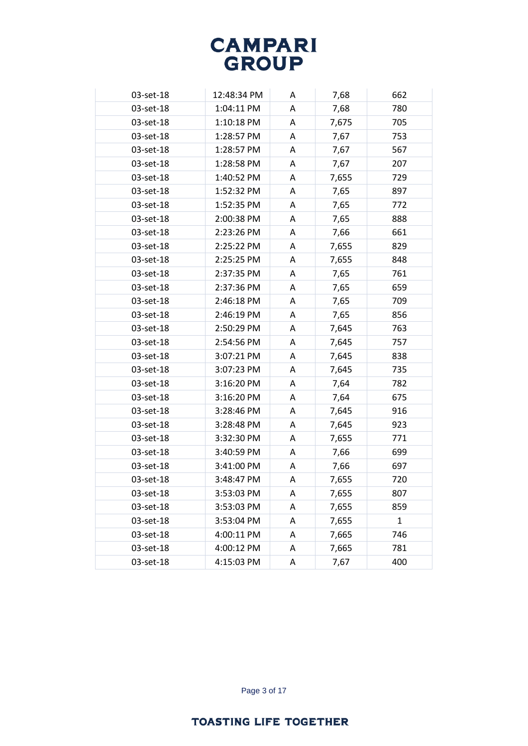| 03-set-18 | 12:48:34 PM | A | 7,68  | 662          |
|-----------|-------------|---|-------|--------------|
| 03-set-18 | 1:04:11 PM  | A | 7,68  | 780          |
| 03-set-18 | 1:10:18 PM  | A | 7,675 | 705          |
| 03-set-18 | 1:28:57 PM  | A | 7,67  | 753          |
| 03-set-18 | 1:28:57 PM  | A | 7,67  | 567          |
| 03-set-18 | 1:28:58 PM  | A | 7,67  | 207          |
| 03-set-18 | 1:40:52 PM  | A | 7,655 | 729          |
| 03-set-18 | 1:52:32 PM  | A | 7,65  | 897          |
| 03-set-18 | 1:52:35 PM  | A | 7,65  | 772          |
| 03-set-18 | 2:00:38 PM  | A | 7,65  | 888          |
| 03-set-18 | 2:23:26 PM  | A | 7,66  | 661          |
| 03-set-18 | 2:25:22 PM  | A | 7,655 | 829          |
| 03-set-18 | 2:25:25 PM  | A | 7,655 | 848          |
| 03-set-18 | 2:37:35 PM  | A | 7,65  | 761          |
| 03-set-18 | 2:37:36 PM  | A | 7,65  | 659          |
| 03-set-18 | 2:46:18 PM  | A | 7,65  | 709          |
| 03-set-18 | 2:46:19 PM  | Α | 7,65  | 856          |
| 03-set-18 | 2:50:29 PM  | A | 7,645 | 763          |
| 03-set-18 | 2:54:56 PM  | A | 7,645 | 757          |
| 03-set-18 | 3:07:21 PM  | A | 7,645 | 838          |
| 03-set-18 | 3:07:23 PM  | A | 7,645 | 735          |
| 03-set-18 | 3:16:20 PM  | A | 7,64  | 782          |
| 03-set-18 | 3:16:20 PM  | A | 7,64  | 675          |
| 03-set-18 | 3:28:46 PM  | A | 7,645 | 916          |
| 03-set-18 | 3:28:48 PM  | A | 7,645 | 923          |
| 03-set-18 | 3:32:30 PM  | A | 7,655 | 771          |
| 03-set-18 | 3:40:59 PM  | A | 7,66  | 699          |
| 03-set-18 | 3:41:00 PM  | A | 7,66  | 697          |
| 03-set-18 | 3:48:47 PM  | A | 7,655 | 720          |
| 03-set-18 | 3:53:03 PM  | A | 7,655 | 807          |
| 03-set-18 | 3:53:03 PM  | Α | 7,655 | 859          |
| 03-set-18 | 3:53:04 PM  | Α | 7,655 | $\mathbf{1}$ |
| 03-set-18 | 4:00:11 PM  | Α | 7,665 | 746          |
| 03-set-18 | 4:00:12 PM  | A | 7,665 | 781          |
| 03-set-18 | 4:15:03 PM  | Α | 7,67  | 400          |

Page 3 of 17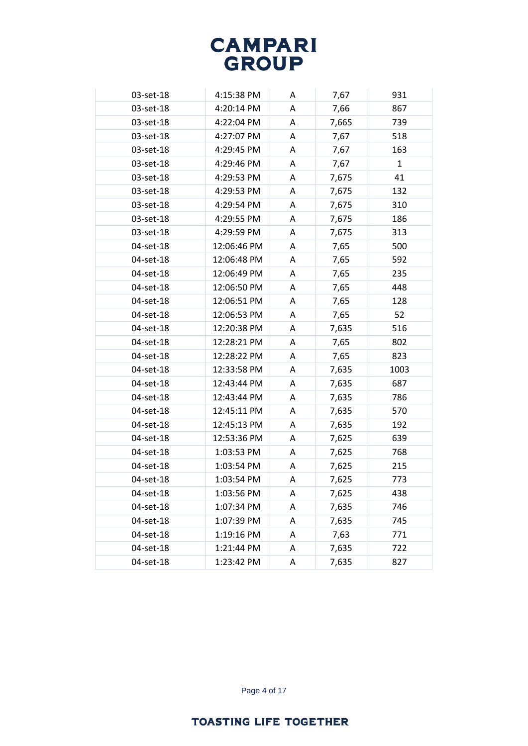| 03-set-18 | 4:15:38 PM  | A | 7,67  | 931          |
|-----------|-------------|---|-------|--------------|
| 03-set-18 | 4:20:14 PM  | A | 7,66  | 867          |
| 03-set-18 | 4:22:04 PM  | A | 7,665 | 739          |
| 03-set-18 | 4:27:07 PM  | A | 7,67  | 518          |
| 03-set-18 | 4:29:45 PM  | A | 7,67  | 163          |
| 03-set-18 | 4:29:46 PM  | A | 7,67  | $\mathbf{1}$ |
| 03-set-18 | 4:29:53 PM  | A | 7,675 | 41           |
| 03-set-18 | 4:29:53 PM  | A | 7,675 | 132          |
| 03-set-18 | 4:29:54 PM  | A | 7,675 | 310          |
| 03-set-18 | 4:29:55 PM  | A | 7,675 | 186          |
| 03-set-18 | 4:29:59 PM  | A | 7,675 | 313          |
| 04-set-18 | 12:06:46 PM | A | 7,65  | 500          |
| 04-set-18 | 12:06:48 PM | A | 7,65  | 592          |
| 04-set-18 | 12:06:49 PM | A | 7,65  | 235          |
| 04-set-18 | 12:06:50 PM | A | 7,65  | 448          |
| 04-set-18 | 12:06:51 PM | A | 7,65  | 128          |
| 04-set-18 | 12:06:53 PM | Α | 7,65  | 52           |
| 04-set-18 | 12:20:38 PM | A | 7,635 | 516          |
| 04-set-18 | 12:28:21 PM | A | 7,65  | 802          |
| 04-set-18 | 12:28:22 PM | A | 7,65  | 823          |
| 04-set-18 | 12:33:58 PM | A | 7,635 | 1003         |
| 04-set-18 | 12:43:44 PM | A | 7,635 | 687          |
| 04-set-18 | 12:43:44 PM | A | 7,635 | 786          |
| 04-set-18 | 12:45:11 PM | A | 7,635 | 570          |
| 04-set-18 | 12:45:13 PM | A | 7,635 | 192          |
| 04-set-18 | 12:53:36 PM | A | 7,625 | 639          |
| 04-set-18 | 1:03:53 PM  | A | 7,625 | 768          |
| 04-set-18 | 1:03:54 PM  | A | 7,625 | 215          |
| 04-set-18 | 1:03:54 PM  | A | 7,625 | 773          |
| 04-set-18 | 1:03:56 PM  | A | 7,625 | 438          |
| 04-set-18 | 1:07:34 PM  | Α | 7,635 | 746          |
| 04-set-18 | 1:07:39 PM  | Α | 7,635 | 745          |
| 04-set-18 | 1:19:16 PM  | Α | 7,63  | 771          |
| 04-set-18 | 1:21:44 PM  | A | 7,635 | 722          |
| 04-set-18 | 1:23:42 PM  | Α | 7,635 | 827          |

Page 4 of 17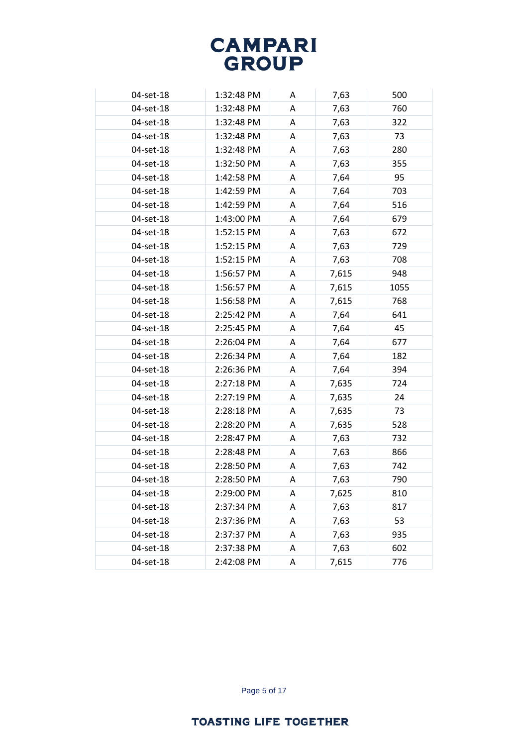| 04-set-18 | 1:32:48 PM | A | 7,63  | 500  |
|-----------|------------|---|-------|------|
| 04-set-18 | 1:32:48 PM | A | 7,63  | 760  |
| 04-set-18 | 1:32:48 PM | A | 7,63  | 322  |
| 04-set-18 | 1:32:48 PM | A | 7,63  | 73   |
| 04-set-18 | 1:32:48 PM | A | 7,63  | 280  |
| 04-set-18 | 1:32:50 PM | A | 7,63  | 355  |
| 04-set-18 | 1:42:58 PM | A | 7,64  | 95   |
| 04-set-18 | 1:42:59 PM | A | 7,64  | 703  |
| 04-set-18 | 1:42:59 PM | A | 7,64  | 516  |
| 04-set-18 | 1:43:00 PM | A | 7,64  | 679  |
| 04-set-18 | 1:52:15 PM | A | 7,63  | 672  |
| 04-set-18 | 1:52:15 PM | A | 7,63  | 729  |
| 04-set-18 | 1:52:15 PM | A | 7,63  | 708  |
| 04-set-18 | 1:56:57 PM | A | 7,615 | 948  |
| 04-set-18 | 1:56:57 PM | A | 7,615 | 1055 |
| 04-set-18 | 1:56:58 PM | A | 7,615 | 768  |
| 04-set-18 | 2:25:42 PM | Α | 7,64  | 641  |
| 04-set-18 | 2:25:45 PM | A | 7,64  | 45   |
| 04-set-18 | 2:26:04 PM | Α | 7,64  | 677  |
| 04-set-18 | 2:26:34 PM | A | 7,64  | 182  |
| 04-set-18 | 2:26:36 PM | A | 7,64  | 394  |
| 04-set-18 | 2:27:18 PM | A | 7,635 | 724  |
| 04-set-18 | 2:27:19 PM | A | 7,635 | 24   |
| 04-set-18 | 2:28:18 PM | A | 7,635 | 73   |
| 04-set-18 | 2:28:20 PM | A | 7,635 | 528  |
| 04-set-18 | 2:28:47 PM | A | 7,63  | 732  |
| 04-set-18 | 2:28:48 PM | A | 7,63  | 866  |
| 04-set-18 | 2:28:50 PM | A | 7,63  | 742  |
| 04-set-18 | 2:28:50 PM | Α | 7,63  | 790  |
| 04-set-18 | 2:29:00 PM | Α | 7,625 | 810  |
| 04-set-18 | 2:37:34 PM | Α | 7,63  | 817  |
| 04-set-18 | 2:37:36 PM | A | 7,63  | 53   |
| 04-set-18 | 2:37:37 PM | A | 7,63  | 935  |
| 04-set-18 | 2:37:38 PM | Α | 7,63  | 602  |
| 04-set-18 | 2:42:08 PM | Α | 7,615 | 776  |

Page 5 of 17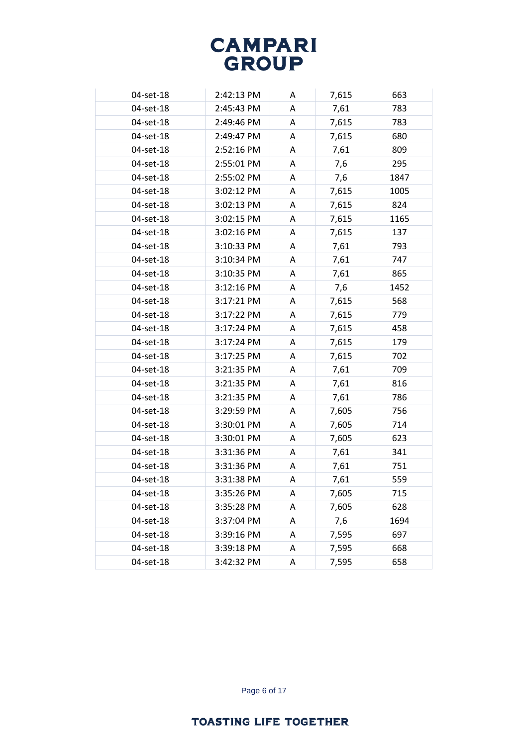| 04-set-18 | 2:42:13 PM | Α | 7,615 | 663  |
|-----------|------------|---|-------|------|
| 04-set-18 | 2:45:43 PM | Α | 7,61  | 783  |
| 04-set-18 | 2:49:46 PM | A | 7,615 | 783  |
| 04-set-18 | 2:49:47 PM | Α | 7,615 | 680  |
| 04-set-18 | 2:52:16 PM | A | 7,61  | 809  |
| 04-set-18 | 2:55:01 PM | A | 7,6   | 295  |
| 04-set-18 | 2:55:02 PM | Α | 7,6   | 1847 |
| 04-set-18 | 3:02:12 PM | A | 7,615 | 1005 |
| 04-set-18 | 3:02:13 PM | Α | 7,615 | 824  |
| 04-set-18 | 3:02:15 PM | A | 7,615 | 1165 |
| 04-set-18 | 3:02:16 PM | Α | 7,615 | 137  |
| 04-set-18 | 3:10:33 PM | Α | 7,61  | 793  |
| 04-set-18 | 3:10:34 PM | A | 7,61  | 747  |
| 04-set-18 | 3:10:35 PM | Α | 7,61  | 865  |
| 04-set-18 | 3:12:16 PM | Α | 7,6   | 1452 |
| 04-set-18 | 3:17:21 PM | Α | 7,615 | 568  |
| 04-set-18 | 3:17:22 PM | Α | 7,615 | 779  |
| 04-set-18 | 3:17:24 PM | A | 7,615 | 458  |
| 04-set-18 | 3:17:24 PM | Α | 7,615 | 179  |
| 04-set-18 | 3:17:25 PM | A | 7,615 | 702  |
| 04-set-18 | 3:21:35 PM | Α | 7,61  | 709  |
| 04-set-18 | 3:21:35 PM | Α | 7,61  | 816  |
| 04-set-18 | 3:21:35 PM | Α | 7,61  | 786  |
| 04-set-18 | 3:29:59 PM | A | 7,605 | 756  |
| 04-set-18 | 3:30:01 PM | A | 7,605 | 714  |
| 04-set-18 | 3:30:01 PM | Α | 7,605 | 623  |
| 04-set-18 | 3:31:36 PM | Α | 7,61  | 341  |
| 04-set-18 | 3:31:36 PM | Α | 7,61  | 751  |
| 04-set-18 | 3:31:38 PM | Α | 7,61  | 559  |
| 04-set-18 | 3:35:26 PM | Α | 7,605 | 715  |
| 04-set-18 | 3:35:28 PM | Α | 7,605 | 628  |
| 04-set-18 | 3:37:04 PM | Α | 7,6   | 1694 |
| 04-set-18 | 3:39:16 PM | A | 7,595 | 697  |
| 04-set-18 | 3:39:18 PM | Α | 7,595 | 668  |
| 04-set-18 | 3:42:32 PM | Α | 7,595 | 658  |

Page 6 of 17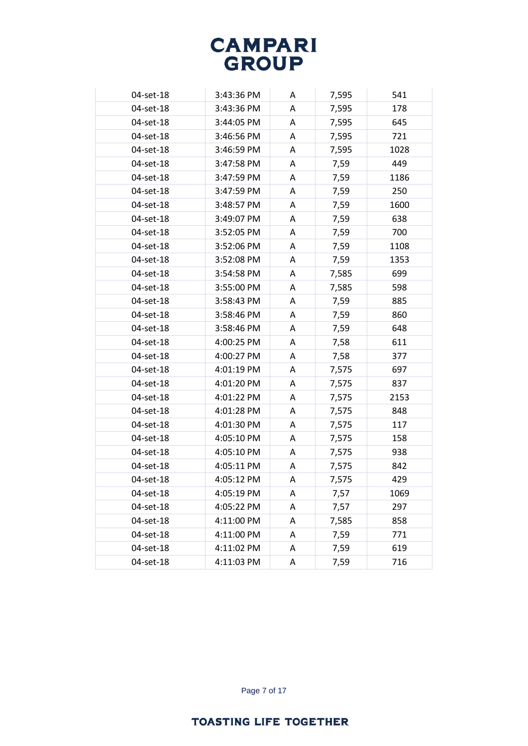| 04-set-18 | 3:43:36 PM | A | 7,595 | 541  |
|-----------|------------|---|-------|------|
| 04-set-18 | 3:43:36 PM | Α | 7,595 | 178  |
| 04-set-18 | 3:44:05 PM | A | 7,595 | 645  |
| 04-set-18 | 3:46:56 PM | A | 7,595 | 721  |
| 04-set-18 | 3:46:59 PM | Α | 7,595 | 1028 |
| 04-set-18 | 3:47:58 PM | A | 7,59  | 449  |
| 04-set-18 | 3:47:59 PM | Α | 7,59  | 1186 |
| 04-set-18 | 3:47:59 PM | A | 7,59  | 250  |
| 04-set-18 | 3:48:57 PM | A | 7,59  | 1600 |
| 04-set-18 | 3:49:07 PM | A | 7,59  | 638  |
| 04-set-18 | 3:52:05 PM | A | 7,59  | 700  |
| 04-set-18 | 3:52:06 PM | Α | 7,59  | 1108 |
| 04-set-18 | 3:52:08 PM | A | 7,59  | 1353 |
| 04-set-18 | 3:54:58 PM | Α | 7,585 | 699  |
| 04-set-18 | 3:55:00 PM | A | 7,585 | 598  |
| 04-set-18 | 3:58:43 PM | A | 7,59  | 885  |
| 04-set-18 | 3:58:46 PM | Α | 7,59  | 860  |
| 04-set-18 | 3:58:46 PM | A | 7,59  | 648  |
| 04-set-18 | 4:00:25 PM | A | 7,58  | 611  |
| 04-set-18 | 4:00:27 PM | A | 7,58  | 377  |
| 04-set-18 | 4:01:19 PM | A | 7,575 | 697  |
| 04-set-18 | 4:01:20 PM | A | 7,575 | 837  |
| 04-set-18 | 4:01:22 PM | A | 7,575 | 2153 |
| 04-set-18 | 4:01:28 PM | A | 7,575 | 848  |
| 04-set-18 | 4:01:30 PM | A | 7,575 | 117  |
| 04-set-18 | 4:05:10 PM | A | 7,575 | 158  |
| 04-set-18 | 4:05:10 PM | A | 7,575 | 938  |
| 04-set-18 | 4:05:11 PM | Α | 7,575 | 842  |
| 04-set-18 | 4:05:12 PM | Α | 7,575 | 429  |
| 04-set-18 | 4:05:19 PM | A | 7,57  | 1069 |
| 04-set-18 | 4:05:22 PM | Α | 7,57  | 297  |
| 04-set-18 | 4:11:00 PM | A | 7,585 | 858  |
| 04-set-18 | 4:11:00 PM | Α | 7,59  | 771  |
| 04-set-18 | 4:11:02 PM | A | 7,59  | 619  |
| 04-set-18 | 4:11:03 PM | Α | 7,59  | 716  |

Page 7 of 17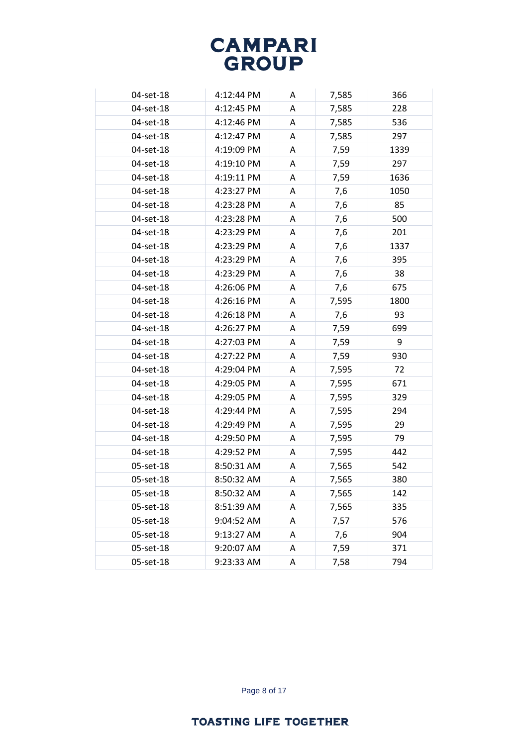| 04-set-18 | 4:12:44 PM | A | 7,585 | 366  |
|-----------|------------|---|-------|------|
| 04-set-18 | 4:12:45 PM | Α | 7,585 | 228  |
| 04-set-18 | 4:12:46 PM | A | 7,585 | 536  |
| 04-set-18 | 4:12:47 PM | A | 7,585 | 297  |
| 04-set-18 | 4:19:09 PM | A | 7,59  | 1339 |
| 04-set-18 | 4:19:10 PM | A | 7,59  | 297  |
| 04-set-18 | 4:19:11 PM | A | 7,59  | 1636 |
| 04-set-18 | 4:23:27 PM | A | 7,6   | 1050 |
| 04-set-18 | 4:23:28 PM | A | 7,6   | 85   |
| 04-set-18 | 4:23:28 PM | A | 7,6   | 500  |
| 04-set-18 | 4:23:29 PM | Α | 7,6   | 201  |
| 04-set-18 | 4:23:29 PM | A | 7,6   | 1337 |
| 04-set-18 | 4:23:29 PM | A | 7,6   | 395  |
| 04-set-18 | 4:23:29 PM | Α | 7,6   | 38   |
| 04-set-18 | 4:26:06 PM | A | 7,6   | 675  |
| 04-set-18 | 4:26:16 PM | A | 7,595 | 1800 |
| 04-set-18 | 4:26:18 PM | Α | 7,6   | 93   |
| 04-set-18 | 4:26:27 PM | A | 7,59  | 699  |
| 04-set-18 | 4:27:03 PM | A | 7,59  | 9    |
| 04-set-18 | 4:27:22 PM | A | 7,59  | 930  |
| 04-set-18 | 4:29:04 PM | A | 7,595 | 72   |
| 04-set-18 | 4:29:05 PM | A | 7,595 | 671  |
| 04-set-18 | 4:29:05 PM | A | 7,595 | 329  |
| 04-set-18 | 4:29:44 PM | Α | 7,595 | 294  |
| 04-set-18 | 4:29:49 PM | A | 7,595 | 29   |
| 04-set-18 | 4:29:50 PM | A | 7,595 | 79   |
| 04-set-18 | 4:29:52 PM | A | 7,595 | 442  |
| 05-set-18 | 8:50:31 AM | A | 7,565 | 542  |
| 05-set-18 | 8:50:32 AM | A | 7,565 | 380  |
| 05-set-18 | 8:50:32 AM | A | 7,565 | 142  |
| 05-set-18 | 8:51:39 AM | Α | 7,565 | 335  |
| 05-set-18 | 9:04:52 AM | Α | 7,57  | 576  |
| 05-set-18 | 9:13:27 AM | Α | 7,6   | 904  |
| 05-set-18 | 9:20:07 AM | A | 7,59  | 371  |
| 05-set-18 | 9:23:33 AM | Α | 7,58  | 794  |

Page 8 of 17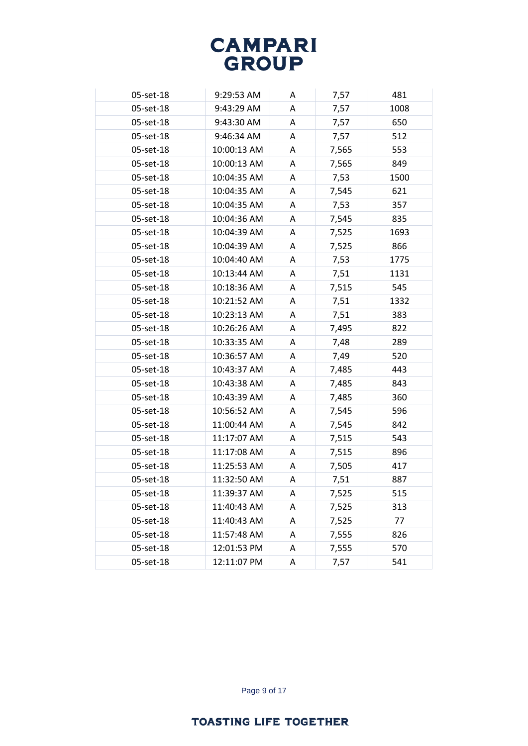| 05-set-18 | 9:29:53 AM  | A | 7,57  | 481  |
|-----------|-------------|---|-------|------|
| 05-set-18 | 9:43:29 AM  | A | 7,57  | 1008 |
| 05-set-18 | 9:43:30 AM  | A | 7,57  | 650  |
| 05-set-18 | 9:46:34 AM  | Α | 7,57  | 512  |
| 05-set-18 | 10:00:13 AM | A | 7,565 | 553  |
| 05-set-18 | 10:00:13 AM | Α | 7,565 | 849  |
| 05-set-18 | 10:04:35 AM | Α | 7,53  | 1500 |
| 05-set-18 | 10:04:35 AM | A | 7,545 | 621  |
| 05-set-18 | 10:04:35 AM | Α | 7,53  | 357  |
| 05-set-18 | 10:04:36 AM | A | 7,545 | 835  |
| 05-set-18 | 10:04:39 AM | A | 7,525 | 1693 |
| 05-set-18 | 10:04:39 AM | A | 7,525 | 866  |
| 05-set-18 | 10:04:40 AM | Α | 7,53  | 1775 |
| 05-set-18 | 10:13:44 AM | Α | 7,51  | 1131 |
| 05-set-18 | 10:18:36 AM | A | 7,515 | 545  |
| 05-set-18 | 10:21:52 AM | Α | 7,51  | 1332 |
| 05-set-18 | 10:23:13 AM | A | 7,51  | 383  |
| 05-set-18 | 10:26:26 AM | A | 7,495 | 822  |
| 05-set-18 | 10:33:35 AM | A | 7,48  | 289  |
| 05-set-18 | 10:36:57 AM | Α | 7,49  | 520  |
| 05-set-18 | 10:43:37 AM | Α | 7,485 | 443  |
| 05-set-18 | 10:43:38 AM | A | 7,485 | 843  |
| 05-set-18 | 10:43:39 AM | Α | 7,485 | 360  |
| 05-set-18 | 10:56:52 AM | Α | 7,545 | 596  |
| 05-set-18 | 11:00:44 AM | A | 7,545 | 842  |
| 05-set-18 | 11:17:07 AM | Α | 7,515 | 543  |
| 05-set-18 | 11:17:08 AM | Α | 7,515 | 896  |
| 05-set-18 | 11:25:53 AM | A | 7,505 | 417  |
| 05-set-18 | 11:32:50 AM | A | 7,51  | 887  |
| 05-set-18 | 11:39:37 AM | Α | 7,525 | 515  |
| 05-set-18 | 11:40:43 AM | Α | 7,525 | 313  |
| 05-set-18 | 11:40:43 AM | Α | 7,525 | 77   |
| 05-set-18 | 11:57:48 AM | Α | 7,555 | 826  |
| 05-set-18 | 12:01:53 PM | A | 7,555 | 570  |
| 05-set-18 | 12:11:07 PM | Α | 7,57  | 541  |

Page 9 of 17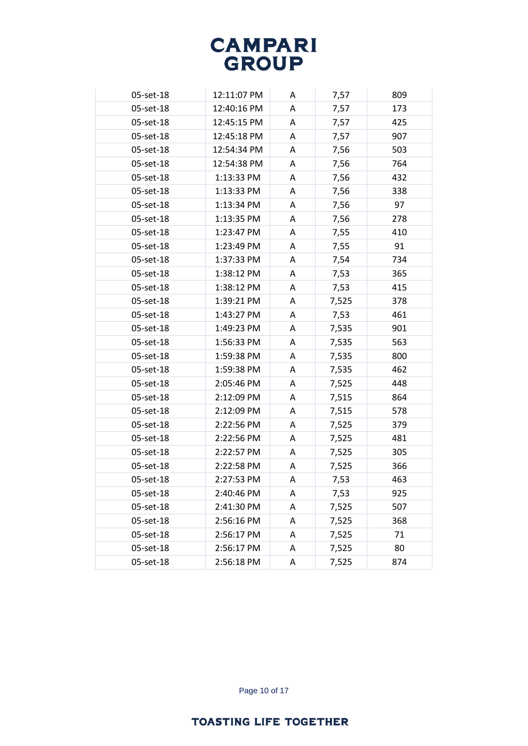| 05-set-18 | 12:11:07 PM | A | 7,57  | 809 |
|-----------|-------------|---|-------|-----|
| 05-set-18 | 12:40:16 PM | A | 7,57  | 173 |
| 05-set-18 | 12:45:15 PM | A | 7,57  | 425 |
| 05-set-18 | 12:45:18 PM | A | 7,57  | 907 |
| 05-set-18 | 12:54:34 PM | A | 7,56  | 503 |
| 05-set-18 | 12:54:38 PM | A | 7,56  | 764 |
| 05-set-18 | 1:13:33 PM  | A | 7,56  | 432 |
| 05-set-18 | 1:13:33 PM  | A | 7,56  | 338 |
| 05-set-18 | 1:13:34 PM  | A | 7,56  | 97  |
| 05-set-18 | 1:13:35 PM  | A | 7,56  | 278 |
| 05-set-18 | 1:23:47 PM  | A | 7,55  | 410 |
| 05-set-18 | 1:23:49 PM  | A | 7,55  | 91  |
| 05-set-18 | 1:37:33 PM  | A | 7,54  | 734 |
| 05-set-18 | 1:38:12 PM  | A | 7,53  | 365 |
| 05-set-18 | 1:38:12 PM  | A | 7,53  | 415 |
| 05-set-18 | 1:39:21 PM  | A | 7,525 | 378 |
| 05-set-18 | 1:43:27 PM  | Α | 7,53  | 461 |
| 05-set-18 | 1:49:23 PM  | A | 7,535 | 901 |
| 05-set-18 | 1:56:33 PM  | A | 7,535 | 563 |
| 05-set-18 | 1:59:38 PM  | A | 7,535 | 800 |
| 05-set-18 | 1:59:38 PM  | A | 7,535 | 462 |
| 05-set-18 | 2:05:46 PM  | A | 7,525 | 448 |
| 05-set-18 | 2:12:09 PM  | A | 7,515 | 864 |
| 05-set-18 | 2:12:09 PM  | A | 7,515 | 578 |
| 05-set-18 | 2:22:56 PM  | A | 7,525 | 379 |
| 05-set-18 | 2:22:56 PM  | A | 7,525 | 481 |
| 05-set-18 | 2:22:57 PM  | A | 7,525 | 305 |
| 05-set-18 | 2:22:58 PM  | A | 7,525 | 366 |
| 05-set-18 | 2:27:53 PM  | A | 7,53  | 463 |
| 05-set-18 | 2:40:46 PM  | Α | 7,53  | 925 |
| 05-set-18 | 2:41:30 PM  | Α | 7,525 | 507 |
| 05-set-18 | 2:56:16 PM  | A | 7,525 | 368 |
| 05-set-18 | 2:56:17 PM  | A | 7,525 | 71  |
| 05-set-18 | 2:56:17 PM  | Α | 7,525 | 80  |
| 05-set-18 | 2:56:18 PM  | Α | 7,525 | 874 |

Page 10 of 17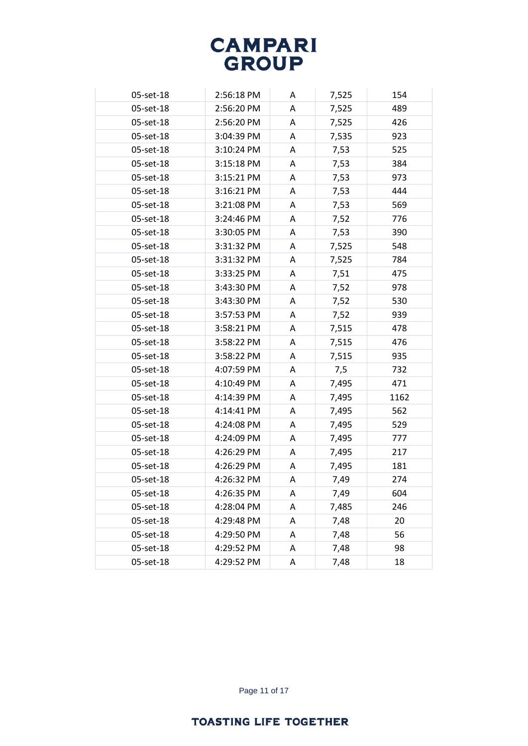| 05-set-18 | 2:56:18 PM | A | 7,525 | 154  |
|-----------|------------|---|-------|------|
| 05-set-18 | 2:56:20 PM | A | 7,525 | 489  |
| 05-set-18 | 2:56:20 PM | A | 7,525 | 426  |
| 05-set-18 | 3:04:39 PM | A | 7,535 | 923  |
| 05-set-18 | 3:10:24 PM | A | 7,53  | 525  |
| 05-set-18 | 3:15:18 PM | A | 7,53  | 384  |
| 05-set-18 | 3:15:21 PM | A | 7,53  | 973  |
| 05-set-18 | 3:16:21 PM | A | 7,53  | 444  |
| 05-set-18 | 3:21:08 PM | A | 7,53  | 569  |
| 05-set-18 | 3:24:46 PM | A | 7,52  | 776  |
| 05-set-18 | 3:30:05 PM | A | 7,53  | 390  |
| 05-set-18 | 3:31:32 PM | A | 7,525 | 548  |
| 05-set-18 | 3:31:32 PM | A | 7,525 | 784  |
| 05-set-18 | 3:33:25 PM | A | 7,51  | 475  |
| 05-set-18 | 3:43:30 PM | A | 7,52  | 978  |
| 05-set-18 | 3:43:30 PM | A | 7,52  | 530  |
| 05-set-18 | 3:57:53 PM | Α | 7,52  | 939  |
| 05-set-18 | 3:58:21 PM | A | 7,515 | 478  |
| 05-set-18 | 3:58:22 PM | A | 7,515 | 476  |
| 05-set-18 | 3:58:22 PM | A | 7,515 | 935  |
| 05-set-18 | 4:07:59 PM | A | 7,5   | 732  |
| 05-set-18 | 4:10:49 PM | A | 7,495 | 471  |
| 05-set-18 | 4:14:39 PM | A | 7,495 | 1162 |
| 05-set-18 | 4:14:41 PM | A | 7,495 | 562  |
| 05-set-18 | 4:24:08 PM | A | 7,495 | 529  |
| 05-set-18 | 4:24:09 PM | A | 7,495 | 777  |
| 05-set-18 | 4:26:29 PM | A | 7,495 | 217  |
| 05-set-18 | 4:26:29 PM | A | 7,495 | 181  |
| 05-set-18 | 4:26:32 PM | A | 7,49  | 274  |
| 05-set-18 | 4:26:35 PM | A | 7,49  | 604  |
| 05-set-18 | 4:28:04 PM | Α | 7,485 | 246  |
| 05-set-18 | 4:29:48 PM | Α | 7,48  | 20   |
| 05-set-18 | 4:29:50 PM | Α | 7,48  | 56   |
| 05-set-18 | 4:29:52 PM | A | 7,48  | 98   |
| 05-set-18 | 4:29:52 PM | Α | 7,48  | 18   |

Page 11 of 17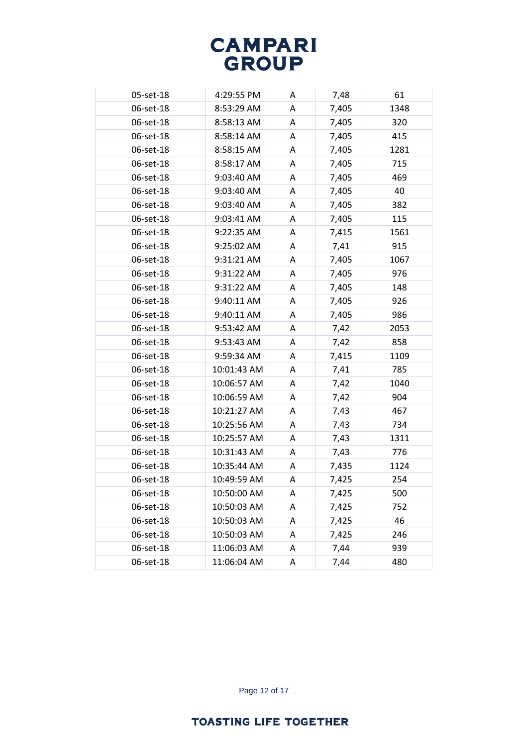| 05-set-18 | 4:29:55 PM  | Α | 7,48  | 61   |
|-----------|-------------|---|-------|------|
| 06-set-18 | 8:53:29 AM  | A | 7,405 | 1348 |
| 06-set-18 | 8:58:13 AM  | A | 7,405 | 320  |
| 06-set-18 | 8:58:14 AM  | A | 7,405 | 415  |
| 06-set-18 | 8:58:15 AM  | A | 7,405 | 1281 |
| 06-set-18 | 8:58:17 AM  | Α | 7,405 | 715  |
| 06-set-18 | 9:03:40 AM  | Α | 7,405 | 469  |
| 06-set-18 | 9:03:40 AM  | A | 7,405 | 40   |
| 06-set-18 | 9:03:40 AM  | Α | 7,405 | 382  |
| 06-set-18 | 9:03:41 AM  | A | 7,405 | 115  |
| 06-set-18 | 9:22:35 AM  | A | 7,415 | 1561 |
| 06-set-18 | 9:25:02 AM  | A | 7,41  | 915  |
| 06-set-18 | 9:31:21 AM  | A | 7,405 | 1067 |
| 06-set-18 | 9:31:22 AM  | A | 7,405 | 976  |
| 06-set-18 | 9:31:22 AM  | A | 7,405 | 148  |
| 06-set-18 | 9:40:11 AM  | Α | 7,405 | 926  |
| 06-set-18 | 9:40:11 AM  | A | 7,405 | 986  |
| 06-set-18 | 9:53:42 AM  | Α | 7,42  | 2053 |
| 06-set-18 | 9:53:43 AM  | A | 7,42  | 858  |
| 06-set-18 | 9:59:34 AM  | A | 7,415 | 1109 |
| 06-set-18 | 10:01:43 AM | Α | 7,41  | 785  |
| 06-set-18 | 10:06:57 AM | A | 7,42  | 1040 |
| 06-set-18 | 10:06:59 AM | Α | 7,42  | 904  |
| 06-set-18 | 10:21:27 AM | Α | 7,43  | 467  |
| 06-set-18 | 10:25:56 AM | Α | 7,43  | 734  |
| 06-set-18 | 10:25:57 AM | Α | 7,43  | 1311 |
| 06-set-18 | 10:31:43 AM | A | 7,43  | 776  |
| 06-set-18 | 10:35:44 AM | Α | 7,435 | 1124 |
| 06-set-18 | 10:49:59 AM | Α | 7,425 | 254  |
| 06-set-18 | 10:50:00 AM | Α | 7,425 | 500  |
| 06-set-18 | 10:50:03 AM | Α | 7,425 | 752  |
| 06-set-18 | 10:50:03 AM | Α | 7,425 | 46   |
| 06-set-18 | 10:50:03 AM | Α | 7,425 | 246  |
| 06-set-18 | 11:06:03 AM | Α | 7,44  | 939  |
| 06-set-18 | 11:06:04 AM | Α | 7,44  | 480  |

Page 12 of 17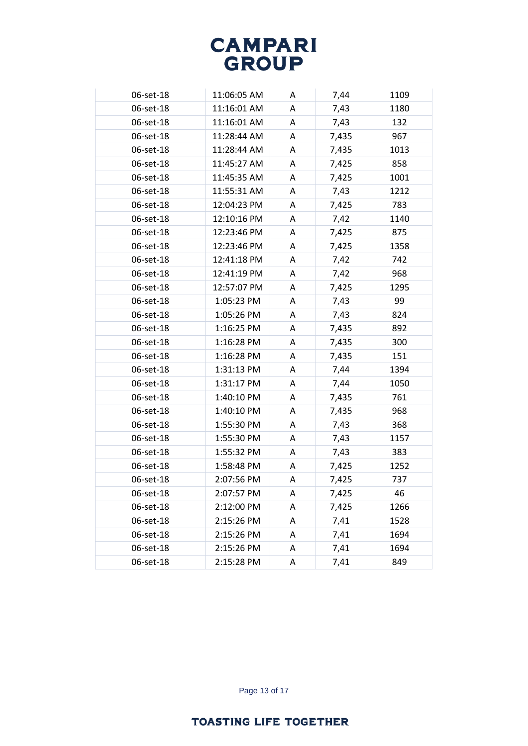| 06-set-18 | 11:06:05 AM | A | 7,44  | 1109 |
|-----------|-------------|---|-------|------|
| 06-set-18 | 11:16:01 AM | A | 7,43  | 1180 |
| 06-set-18 | 11:16:01 AM | A | 7,43  | 132  |
| 06-set-18 | 11:28:44 AM | A | 7,435 | 967  |
| 06-set-18 | 11:28:44 AM | A | 7,435 | 1013 |
| 06-set-18 | 11:45:27 AM | A | 7,425 | 858  |
| 06-set-18 | 11:45:35 AM | A | 7,425 | 1001 |
| 06-set-18 | 11:55:31 AM | A | 7,43  | 1212 |
| 06-set-18 | 12:04:23 PM | A | 7,425 | 783  |
| 06-set-18 | 12:10:16 PM | A | 7,42  | 1140 |
| 06-set-18 | 12:23:46 PM | A | 7,425 | 875  |
| 06-set-18 | 12:23:46 PM | A | 7,425 | 1358 |
| 06-set-18 | 12:41:18 PM | A | 7,42  | 742  |
| 06-set-18 | 12:41:19 PM | A | 7,42  | 968  |
| 06-set-18 | 12:57:07 PM | A | 7,425 | 1295 |
| 06-set-18 | 1:05:23 PM  | A | 7,43  | 99   |
| 06-set-18 | 1:05:26 PM  | A | 7,43  | 824  |
| 06-set-18 | 1:16:25 PM  | A | 7,435 | 892  |
| 06-set-18 | 1:16:28 PM  | A | 7,435 | 300  |
| 06-set-18 | 1:16:28 PM  | A | 7,435 | 151  |
| 06-set-18 | 1:31:13 PM  | A | 7,44  | 1394 |
| 06-set-18 | 1:31:17 PM  | A | 7,44  | 1050 |
| 06-set-18 | 1:40:10 PM  | A | 7,435 | 761  |
| 06-set-18 | 1:40:10 PM  | A | 7,435 | 968  |
| 06-set-18 | 1:55:30 PM  | A | 7,43  | 368  |
| 06-set-18 | 1:55:30 PM  | A | 7,43  | 1157 |
| 06-set-18 | 1:55:32 PM  | A | 7,43  | 383  |
| 06-set-18 | 1:58:48 PM  | A | 7,425 | 1252 |
| 06-set-18 | 2:07:56 PM  | A | 7,425 | 737  |
| 06-set-18 | 2:07:57 PM  | A | 7,425 | 46   |
| 06-set-18 | 2:12:00 PM  | Α | 7,425 | 1266 |
| 06-set-18 | 2:15:26 PM  | Α | 7,41  | 1528 |
| 06-set-18 | 2:15:26 PM  | Α | 7,41  | 1694 |
| 06-set-18 | 2:15:26 PM  | A | 7,41  | 1694 |
| 06-set-18 | 2:15:28 PM  | Α | 7,41  | 849  |

Page 13 of 17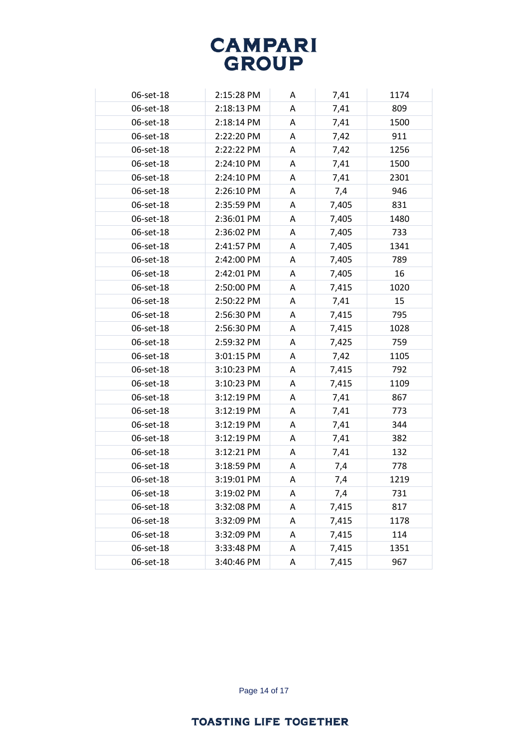| 06-set-18 | 2:15:28 PM | Α | 7,41  | 1174 |
|-----------|------------|---|-------|------|
| 06-set-18 | 2:18:13 PM | A | 7,41  | 809  |
| 06-set-18 | 2:18:14 PM | A | 7,41  | 1500 |
| 06-set-18 | 2:22:20 PM | Α | 7,42  | 911  |
| 06-set-18 | 2:22:22 PM | A | 7,42  | 1256 |
| 06-set-18 | 2:24:10 PM | Α | 7,41  | 1500 |
| 06-set-18 | 2:24:10 PM | Α | 7,41  | 2301 |
| 06-set-18 | 2:26:10 PM | A | 7,4   | 946  |
| 06-set-18 | 2:35:59 PM | A | 7,405 | 831  |
| 06-set-18 | 2:36:01 PM | A | 7,405 | 1480 |
| 06-set-18 | 2:36:02 PM | A | 7,405 | 733  |
| 06-set-18 | 2:41:57 PM | A | 7,405 | 1341 |
| 06-set-18 | 2:42:00 PM | A | 7,405 | 789  |
| 06-set-18 | 2:42:01 PM | A | 7,405 | 16   |
| 06-set-18 | 2:50:00 PM | A | 7,415 | 1020 |
| 06-set-18 | 2:50:22 PM | Α | 7,41  | 15   |
| 06-set-18 | 2:56:30 PM | A | 7,415 | 795  |
| 06-set-18 | 2:56:30 PM | Α | 7,415 | 1028 |
| 06-set-18 | 2:59:32 PM | A | 7,425 | 759  |
| 06-set-18 | 3:01:15 PM | A | 7,42  | 1105 |
| 06-set-18 | 3:10:23 PM | A | 7,415 | 792  |
| 06-set-18 | 3:10:23 PM | A | 7,415 | 1109 |
| 06-set-18 | 3:12:19 PM | Α | 7,41  | 867  |
| 06-set-18 | 3:12:19 PM | Α | 7,41  | 773  |
| 06-set-18 | 3:12:19 PM | Α | 7,41  | 344  |
| 06-set-18 | 3:12:19 PM | A | 7,41  | 382  |
| 06-set-18 | 3:12:21 PM | A | 7,41  | 132  |
| 06-set-18 | 3:18:59 PM | Α | 7,4   | 778  |
| 06-set-18 | 3:19:01 PM | A | 7,4   | 1219 |
| 06-set-18 | 3:19:02 PM | Α | 7,4   | 731  |
| 06-set-18 | 3:32:08 PM | Α | 7,415 | 817  |
| 06-set-18 | 3:32:09 PM | Α | 7,415 | 1178 |
| 06-set-18 | 3:32:09 PM | Α | 7,415 | 114  |
| 06-set-18 | 3:33:48 PM | A | 7,415 | 1351 |
| 06-set-18 | 3:40:46 PM | Α | 7,415 | 967  |

Page 14 of 17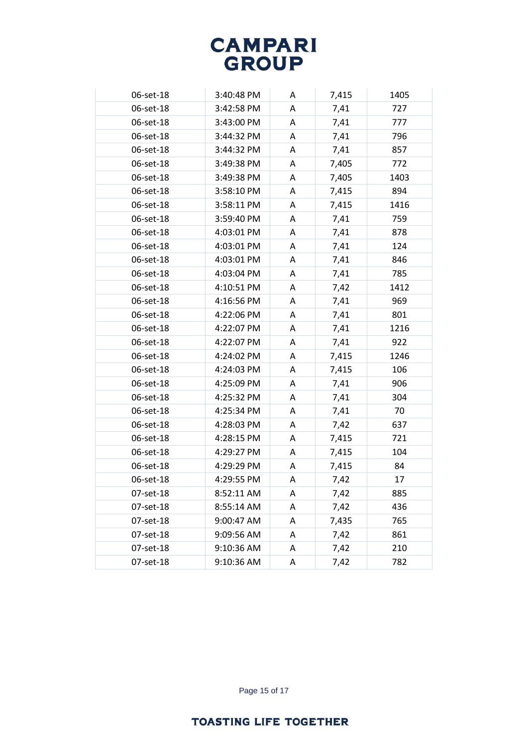| 06-set-18 | 3:40:48 PM | A | 7,415 | 1405 |
|-----------|------------|---|-------|------|
| 06-set-18 | 3:42:58 PM | A | 7,41  | 727  |
| 06-set-18 | 3:43:00 PM | A | 7,41  | 777  |
| 06-set-18 | 3:44:32 PM | A | 7,41  | 796  |
| 06-set-18 | 3:44:32 PM | A | 7,41  | 857  |
| 06-set-18 | 3:49:38 PM | A | 7,405 | 772  |
| 06-set-18 | 3:49:38 PM | A | 7,405 | 1403 |
| 06-set-18 | 3:58:10 PM | A | 7,415 | 894  |
| 06-set-18 | 3:58:11 PM | A | 7,415 | 1416 |
| 06-set-18 | 3:59:40 PM | A | 7,41  | 759  |
| 06-set-18 | 4:03:01 PM | A | 7,41  | 878  |
| 06-set-18 | 4:03:01 PM | A | 7,41  | 124  |
| 06-set-18 | 4:03:01 PM | A | 7,41  | 846  |
| 06-set-18 | 4:03:04 PM | A | 7,41  | 785  |
| 06-set-18 | 4:10:51 PM | A | 7,42  | 1412 |
| 06-set-18 | 4:16:56 PM | A | 7,41  | 969  |
| 06-set-18 | 4:22:06 PM | A | 7,41  | 801  |
| 06-set-18 | 4:22:07 PM | A | 7,41  | 1216 |
| 06-set-18 | 4:22:07 PM | A | 7,41  | 922  |
| 06-set-18 | 4:24:02 PM | A | 7,415 | 1246 |
| 06-set-18 | 4:24:03 PM | A | 7,415 | 106  |
| 06-set-18 | 4:25:09 PM | A | 7,41  | 906  |
| 06-set-18 | 4:25:32 PM | A | 7,41  | 304  |
| 06-set-18 | 4:25:34 PM | A | 7,41  | 70   |
| 06-set-18 | 4:28:03 PM | A | 7,42  | 637  |
| 06-set-18 | 4:28:15 PM | A | 7,415 | 721  |
| 06-set-18 | 4:29:27 PM | A | 7,415 | 104  |
| 06-set-18 | 4:29:29 PM | A | 7,415 | 84   |
| 06-set-18 | 4:29:55 PM | A | 7,42  | 17   |
| 07-set-18 | 8:52:11 AM | A | 7,42  | 885  |
| 07-set-18 | 8:55:14 AM | Α | 7,42  | 436  |
| 07-set-18 | 9:00:47 AM | Α | 7,435 | 765  |
| 07-set-18 | 9:09:56 AM | Α | 7,42  | 861  |
| 07-set-18 | 9:10:36 AM | Α | 7,42  | 210  |
| 07-set-18 | 9:10:36 AM | Α | 7,42  | 782  |

Page 15 of 17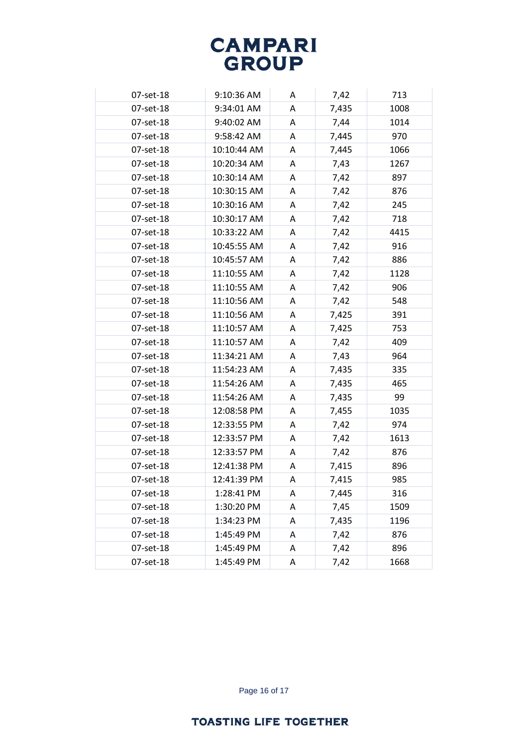| 07-set-18 | 9:10:36 AM  | A | 7,42  | 713  |
|-----------|-------------|---|-------|------|
| 07-set-18 | 9:34:01 AM  | A | 7,435 | 1008 |
| 07-set-18 | 9:40:02 AM  | A | 7,44  | 1014 |
| 07-set-18 | 9:58:42 AM  | A | 7,445 | 970  |
| 07-set-18 | 10:10:44 AM | A | 7,445 | 1066 |
| 07-set-18 | 10:20:34 AM | A | 7,43  | 1267 |
| 07-set-18 | 10:30:14 AM | Α | 7,42  | 897  |
| 07-set-18 | 10:30:15 AM | A | 7,42  | 876  |
| 07-set-18 | 10:30:16 AM | A | 7,42  | 245  |
| 07-set-18 | 10:30:17 AM | A | 7,42  | 718  |
| 07-set-18 | 10:33:22 AM | A | 7,42  | 4415 |
| 07-set-18 | 10:45:55 AM | A | 7,42  | 916  |
| 07-set-18 | 10:45:57 AM | A | 7,42  | 886  |
| 07-set-18 | 11:10:55 AM | A | 7,42  | 1128 |
| 07-set-18 | 11:10:55 AM | A | 7,42  | 906  |
| 07-set-18 | 11:10:56 AM | A | 7,42  | 548  |
| 07-set-18 | 11:10:56 AM | A | 7,425 | 391  |
| 07-set-18 | 11:10:57 AM | A | 7,425 | 753  |
| 07-set-18 | 11:10:57 AM | A | 7,42  | 409  |
| 07-set-18 | 11:34:21 AM | A | 7,43  | 964  |
| 07-set-18 | 11:54:23 AM | A | 7,435 | 335  |
| 07-set-18 | 11:54:26 AM | A | 7,435 | 465  |
| 07-set-18 | 11:54:26 AM | A | 7,435 | 99   |
| 07-set-18 | 12:08:58 PM | A | 7,455 | 1035 |
| 07-set-18 | 12:33:55 PM | A | 7,42  | 974  |
| 07-set-18 | 12:33:57 PM | A | 7,42  | 1613 |
| 07-set-18 | 12:33:57 PM | A | 7,42  | 876  |
| 07-set-18 | 12:41:38 PM | A | 7,415 | 896  |
| 07-set-18 | 12:41:39 PM | A | 7,415 | 985  |
| 07-set-18 | 1:28:41 PM  | A | 7,445 | 316  |
| 07-set-18 | 1:30:20 PM  | Α | 7,45  | 1509 |
| 07-set-18 | 1:34:23 PM  | A | 7,435 | 1196 |
| 07-set-18 | 1:45:49 PM  | Α | 7,42  | 876  |
| 07-set-18 | 1:45:49 PM  | A | 7,42  | 896  |
| 07-set-18 | 1:45:49 PM  | Α | 7,42  | 1668 |

Page 16 of 17